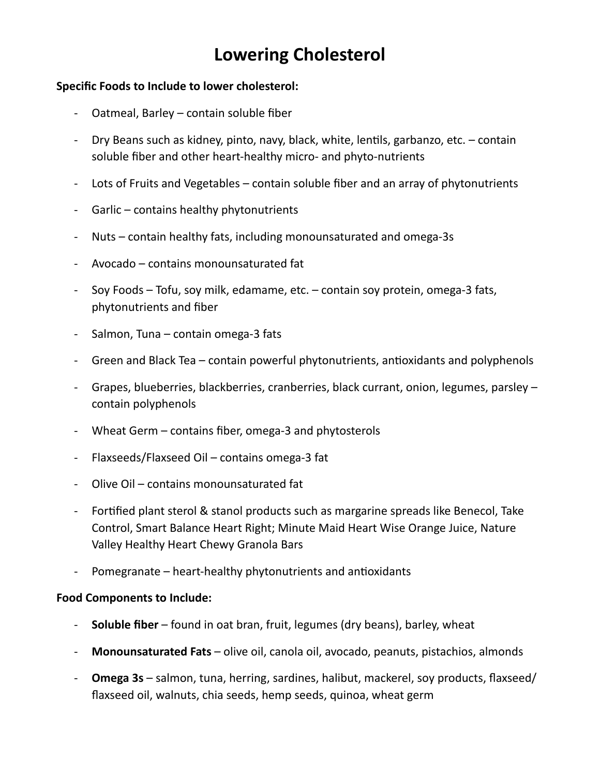## **Lowering Cholesterol**

## **Specific Foods to Include to lower cholesterol:**

- Oatmeal, Barley  $-$  contain soluble fiber
- Dry Beans such as kidney, pinto, navy, black, white, lentils, garbanzo, etc. contain soluble fiber and other heart-healthy micro- and phyto-nutrients
- Lots of Fruits and Vegetables contain soluble fiber and an array of phytonutrients
- Garlic contains healthy phytonutrients
- Nuts contain healthy fats, including monounsaturated and omega-3s
- Avocado contains monounsaturated fat
- Soy Foods Tofu, soy milk, edamame, etc. contain soy protein, omega-3 fats, phytonutrients and fiber
- Salmon, Tuna contain omega-3 fats
- Green and Black Tea contain powerful phytonutrients, antioxidants and polyphenols
- Grapes, blueberries, blackberries, cranberries, black currant, onion, legumes, parsley contain polyphenols
- Wheat Germ contains fiber, omega-3 and phytosterols
- Flaxseeds/Flaxseed Oil contains omega-3 fat
- Olive Oil contains monounsaturated fat
- Fortified plant sterol & stanol products such as margarine spreads like Benecol, Take Control, Smart Balance Heart Right; Minute Maid Heart Wise Orange Juice, Nature Valley Healthy Heart Chewy Granola Bars
- Pomegranate heart-healthy phytonutrients and antioxidants

## **Food Components to Include:**

- **Soluble fiber** found in oat bran, fruit, legumes (dry beans), barley, wheat
- Monounsaturated Fats olive oil, canola oil, avocado, peanuts, pistachios, almonds
- **Omega 3s** salmon, tuna, herring, sardines, halibut, mackerel, soy products, flaxseed/ flaxseed oil, walnuts, chia seeds, hemp seeds, quinoa, wheat germ